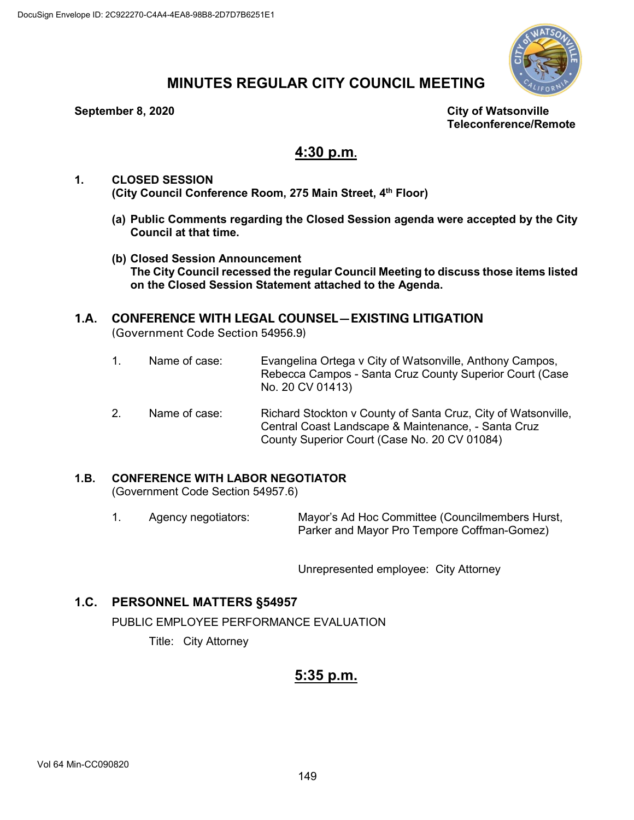

# **MINUTES REGULAR CITY COUNCIL MEETING**

#### **September 8, 2020 City of Watsonville**

**Teleconference/Remote**

# **4:30 p.m.**

- **1. CLOSED SESSION (City Council Conference Room, 275 Main Street, 4th Floor)**
	- **(a) Public Comments regarding the Closed Session agenda were accepted by the City Council at that time.**
	- **(b) Closed Session Announcement The City Council recessed the regular Council Meeting to discuss those items listed on the Closed Session Statement attached to the Agenda.**

# **1.A. CONFERENCE WITH LEGAL COUNSEL—EXISTING LITIGATION** (Government Code Section 54956.9)

- 1. Name of case: Evangelina Ortega v City of Watsonville, Anthony Campos, Rebecca Campos - Santa Cruz County Superior Court (Case No. 20 CV 01413)
- 2. Name of case: Richard Stockton v County of Santa Cruz, City of Watsonville, Central Coast Landscape & Maintenance, - Santa Cruz County Superior Court (Case No. 20 CV 01084)

# **1.B. CONFERENCE WITH LABOR NEGOTIATOR**

(Government Code Section 54957.6)

1. Agency negotiators: Mayor's Ad Hoc Committee (Councilmembers Hurst, Parker and Mayor Pro Tempore Coffman-Gomez)

Unrepresented employee: City Attorney

# **1.C. PERSONNEL MATTERS §54957**

PUBLIC EMPLOYEE PERFORMANCE EVALUATION

Title: City Attorney

# **5:35 p.m.**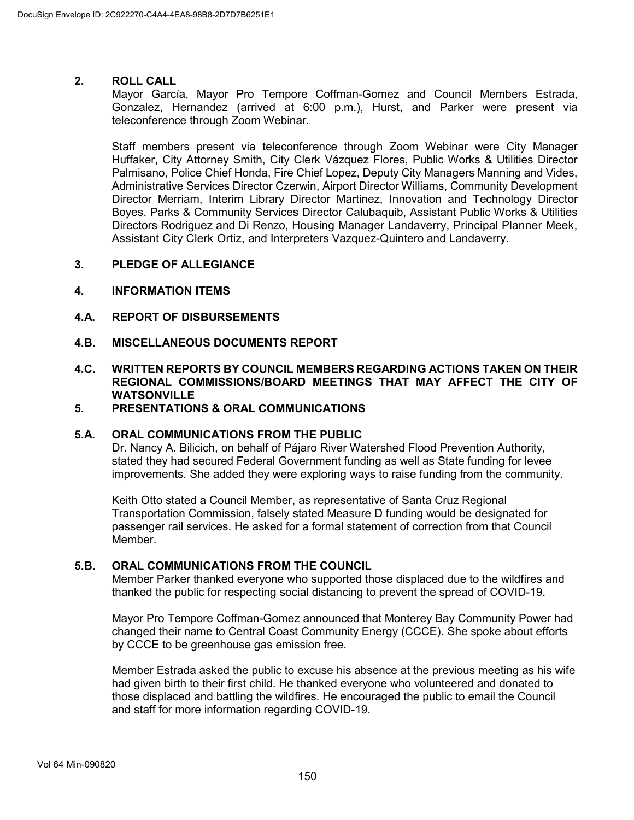#### **2. ROLL CALL**

Mayor García, Mayor Pro Tempore Coffman-Gomez and Council Members Estrada, Gonzalez, Hernandez (arrived at 6:00 p.m.), Hurst, and Parker were present via teleconference through Zoom Webinar.

Staff members present via teleconference through Zoom Webinar were City Manager Huffaker, City Attorney Smith, City Clerk Vázquez Flores, Public Works & Utilities Director Palmisano, Police Chief Honda, Fire Chief Lopez, Deputy City Managers Manning and Vides, Administrative Services Director Czerwin, Airport Director Williams, Community Development Director Merriam, Interim Library Director Martinez, Innovation and Technology Director Boyes. Parks & Community Services Director Calubaquib, Assistant Public Works & Utilities Directors Rodriguez and Di Renzo, Housing Manager Landaverry, Principal Planner Meek, Assistant City Clerk Ortiz, and Interpreters Vazquez-Quintero and Landaverry.

#### **3. PLEDGE OF ALLEGIANCE**

#### **4. INFORMATION ITEMS**

- **4.A. REPORT OF DISBURSEMENTS**
- **4.B. MISCELLANEOUS DOCUMENTS REPORT**

# **4.C. WRITTEN REPORTS BY COUNCIL MEMBERS REGARDING ACTIONS TAKEN ON THEIR REGIONAL COMMISSIONS/BOARD MEETINGS THAT MAY AFFECT THE CITY OF WATSONVILLE**

#### **5. PRESENTATIONS & ORAL COMMUNICATIONS**

#### **5.A. ORAL COMMUNICATIONS FROM THE PUBLIC**

Dr. Nancy A. Bilicich, on behalf of Pájaro River Watershed Flood Prevention Authority, stated they had secured Federal Government funding as well as State funding for levee improvements. She added they were exploring ways to raise funding from the community.

Keith Otto stated a Council Member, as representative of Santa Cruz Regional Transportation Commission, falsely stated Measure D funding would be designated for passenger rail services. He asked for a formal statement of correction from that Council Member.

# **5.B. ORAL COMMUNICATIONS FROM THE COUNCIL**

Member Parker thanked everyone who supported those displaced due to the wildfires and thanked the public for respecting social distancing to prevent the spread of COVID-19.

Mayor Pro Tempore Coffman-Gomez announced that Monterey Bay Community Power had changed their name to Central Coast Community Energy (CCCE). She spoke about efforts by CCCE to be greenhouse gas emission free.

Member Estrada asked the public to excuse his absence at the previous meeting as his wife had given birth to their first child. He thanked everyone who volunteered and donated to those displaced and battling the wildfires. He encouraged the public to email the Council and staff for more information regarding COVID-19.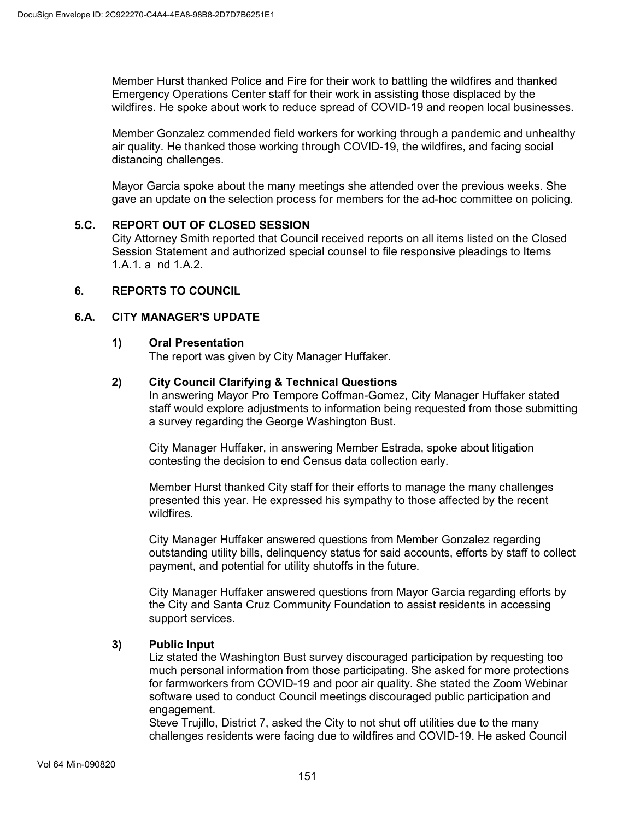Member Hurst thanked Police and Fire for their work to battling the wildfires and thanked Emergency Operations Center staff for their work in assisting those displaced by the wildfires. He spoke about work to reduce spread of COVID-19 and reopen local businesses.

Member Gonzalez commended field workers for working through a pandemic and unhealthy air quality. He thanked those working through COVID-19, the wildfires, and facing social distancing challenges.

Mayor Garcia spoke about the many meetings she attended over the previous weeks. She gave an update on the selection process for members for the ad-hoc committee on policing.

#### **5.C. REPORT OUT OF CLOSED SESSION**

City Attorney Smith reported that Council received reports on all items listed on the Closed Session Statement and authorized special counsel to file responsive pleadings to Items 1.A.1. a nd 1.A.2.

### **6. REPORTS TO COUNCIL**

#### **6.A. CITY MANAGER'S UPDATE**

#### **1) Oral Presentation**

The report was given by City Manager Huffaker.

# **2) City Council Clarifying & Technical Questions**

In answering Mayor Pro Tempore Coffman-Gomez, City Manager Huffaker stated staff would explore adjustments to information being requested from those submitting a survey regarding the George Washington Bust.

City Manager Huffaker, in answering Member Estrada, spoke about litigation contesting the decision to end Census data collection early.

Member Hurst thanked City staff for their efforts to manage the many challenges presented this year. He expressed his sympathy to those affected by the recent wildfires.

City Manager Huffaker answered questions from Member Gonzalez regarding outstanding utility bills, delinquency status for said accounts, efforts by staff to collect payment, and potential for utility shutoffs in the future.

City Manager Huffaker answered questions from Mayor Garcia regarding efforts by the City and Santa Cruz Community Foundation to assist residents in accessing support services.

# **3) Public Input**

Liz stated the Washington Bust survey discouraged participation by requesting too much personal information from those participating. She asked for more protections for farmworkers from COVID-19 and poor air quality. She stated the Zoom Webinar software used to conduct Council meetings discouraged public participation and engagement.

Steve Trujillo, District 7, asked the City to not shut off utilities due to the many challenges residents were facing due to wildfires and COVID-19. He asked Council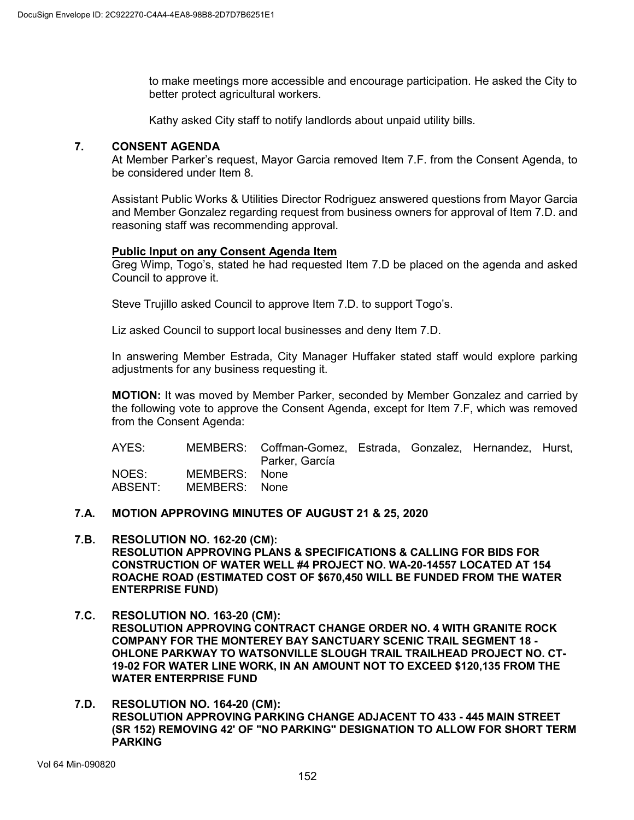to make meetings more accessible and encourage participation. He asked the City to better protect agricultural workers.

Kathy asked City staff to notify landlords about unpaid utility bills.

# **7. CONSENT AGENDA**

At Member Parker's request, Mayor Garcia removed Item 7.F. from the Consent Agenda, to be considered under Item 8.

Assistant Public Works & Utilities Director Rodriguez answered questions from Mayor Garcia and Member Gonzalez regarding request from business owners for approval of Item 7.D. and reasoning staff was recommending approval.

# **Public Input on any Consent Agenda Item**

Greg Wimp, Togo's, stated he had requested Item 7.D be placed on the agenda and asked Council to approve it.

Steve Trujillo asked Council to approve Item 7.D. to support Togo's.

Liz asked Council to support local businesses and deny Item 7.D.

In answering Member Estrada, City Manager Huffaker stated staff would explore parking adjustments for any business requesting it.

**MOTION:** It was moved by Member Parker, seconded by Member Gonzalez and carried by the following vote to approve the Consent Agenda, except for Item 7.F, which was removed from the Consent Agenda:

| AYES:            |                                | MEMBERS: Coffman-Gomez, Estrada, Gonzalez, Hernandez, Hurst,<br>Parker, García |  |  |
|------------------|--------------------------------|--------------------------------------------------------------------------------|--|--|
| NOES:<br>ABSENT: | MEMBERS: None<br>MEMBERS: None |                                                                                |  |  |

### **7.A. MOTION APPROVING MINUTES OF AUGUST 21 & 25, 2020**

- **7.B. RESOLUTION NO. 162-20 (CM): RESOLUTION APPROVING PLANS & SPECIFICATIONS & CALLING FOR BIDS FOR CONSTRUCTION OF WATER WELL #4 PROJECT NO. WA-20-14557 LOCATED AT 154 ROACHE ROAD (ESTIMATED COST OF \$670,450 WILL BE FUNDED FROM THE WATER ENTERPRISE FUND)**
- **7.C. RESOLUTION NO. 163-20 (CM): RESOLUTION APPROVING CONTRACT CHANGE ORDER NO. 4 WITH GRANITE ROCK COMPANY FOR THE MONTEREY BAY SANCTUARY SCENIC TRAIL SEGMENT 18 - OHLONE PARKWAY TO WATSONVILLE SLOUGH TRAIL TRAILHEAD PROJECT NO. CT-19-02 FOR WATER LINE WORK, IN AN AMOUNT NOT TO EXCEED \$120,135 FROM THE WATER ENTERPRISE FUND**
- **7.D. RESOLUTION NO. 164-20 (CM): RESOLUTION APPROVING PARKING CHANGE ADJACENT TO 433 - 445 MAIN STREET (SR 152) REMOVING 42' OF "NO PARKING" DESIGNATION TO ALLOW FOR SHORT TERM PARKING**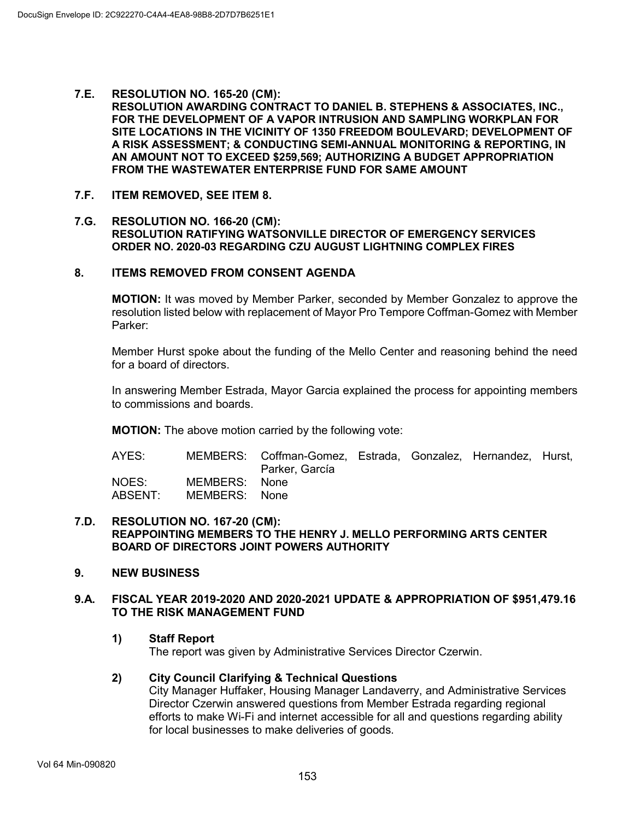#### **7.E. RESOLUTION NO. 165-20 (CM):**

**RESOLUTION AWARDING CONTRACT TO DANIEL B. STEPHENS & ASSOCIATES, INC., FOR THE DEVELOPMENT OF A VAPOR INTRUSION AND SAMPLING WORKPLAN FOR SITE LOCATIONS IN THE VICINITY OF 1350 FREEDOM BOULEVARD; DEVELOPMENT OF A RISK ASSESSMENT; & CONDUCTING SEMI-ANNUAL MONITORING & REPORTING, IN AN AMOUNT NOT TO EXCEED \$259,569; AUTHORIZING A BUDGET APPROPRIATION FROM THE WASTEWATER ENTERPRISE FUND FOR SAME AMOUNT**

#### **7.F. ITEM REMOVED, SEE ITEM 8.**

#### **7.G. RESOLUTION NO. 166-20 (CM): RESOLUTION RATIFYING WATSONVILLE DIRECTOR OF EMERGENCY SERVICES ORDER NO. 2020-03 REGARDING CZU AUGUST LIGHTNING COMPLEX FIRES**

# **8. ITEMS REMOVED FROM CONSENT AGENDA**

**MOTION:** It was moved by Member Parker, seconded by Member Gonzalez to approve the resolution listed below with replacement of Mayor Pro Tempore Coffman-Gomez with Member Parker:

Member Hurst spoke about the funding of the Mello Center and reasoning behind the need for a board of directors.

In answering Member Estrada, Mayor Garcia explained the process for appointing members to commissions and boards.

**MOTION:** The above motion carried by the following vote:

| AYES:            |                                | MEMBERS: Coffman-Gomez, Estrada, Gonzalez, Hernandez, Hurst,<br>Parker, García |  |  |
|------------------|--------------------------------|--------------------------------------------------------------------------------|--|--|
| NOES:<br>ABSENT: | MEMBERS: None<br>MEMBERS: None |                                                                                |  |  |

#### **7.D. RESOLUTION NO. 167-20 (CM): REAPPOINTING MEMBERS TO THE HENRY J. MELLO PERFORMING ARTS CENTER BOARD OF DIRECTORS JOINT POWERS AUTHORITY**

# **9. NEW BUSINESS**

#### **9.A. FISCAL YEAR 2019-2020 AND 2020-2021 UPDATE & APPROPRIATION OF \$951,479.16 TO THE RISK MANAGEMENT FUND**

**1) Staff Report**

The report was given by Administrative Services Director Czerwin.

# **2) City Council Clarifying & Technical Questions**

City Manager Huffaker, Housing Manager Landaverry, and Administrative Services Director Czerwin answered questions from Member Estrada regarding regional efforts to make Wi-Fi and internet accessible for all and questions regarding ability for local businesses to make deliveries of goods.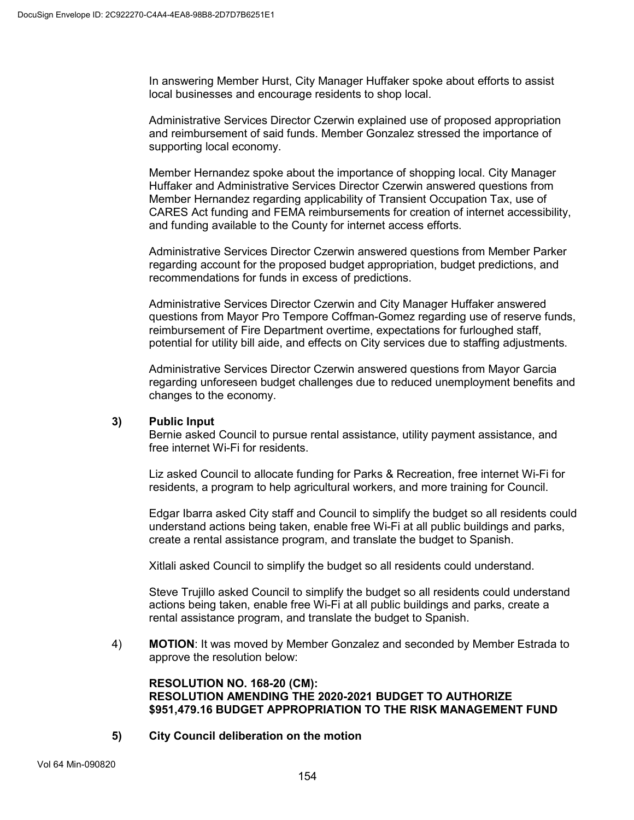In answering Member Hurst, City Manager Huffaker spoke about efforts to assist local businesses and encourage residents to shop local.

Administrative Services Director Czerwin explained use of proposed appropriation and reimbursement of said funds. Member Gonzalez stressed the importance of supporting local economy.

Member Hernandez spoke about the importance of shopping local. City Manager Huffaker and Administrative Services Director Czerwin answered questions from Member Hernandez regarding applicability of Transient Occupation Tax, use of CARES Act funding and FEMA reimbursements for creation of internet accessibility, and funding available to the County for internet access efforts.

Administrative Services Director Czerwin answered questions from Member Parker regarding account for the proposed budget appropriation, budget predictions, and recommendations for funds in excess of predictions.

Administrative Services Director Czerwin and City Manager Huffaker answered questions from Mayor Pro Tempore Coffman-Gomez regarding use of reserve funds, reimbursement of Fire Department overtime, expectations for furloughed staff, potential for utility bill aide, and effects on City services due to staffing adjustments.

Administrative Services Director Czerwin answered questions from Mayor Garcia regarding unforeseen budget challenges due to reduced unemployment benefits and changes to the economy.

# **3) Public Input**

Bernie asked Council to pursue rental assistance, utility payment assistance, and free internet Wi-Fi for residents.

Liz asked Council to allocate funding for Parks & Recreation, free internet Wi-Fi for residents, a program to help agricultural workers, and more training for Council.

Edgar Ibarra asked City staff and Council to simplify the budget so all residents could understand actions being taken, enable free Wi-Fi at all public buildings and parks, create a rental assistance program, and translate the budget to Spanish.

Xitlali asked Council to simplify the budget so all residents could understand.

Steve Trujillo asked Council to simplify the budget so all residents could understand actions being taken, enable free Wi-Fi at all public buildings and parks, create a rental assistance program, and translate the budget to Spanish.

4) **MOTION**: It was moved by Member Gonzalez and seconded by Member Estrada to approve the resolution below:

#### **RESOLUTION NO. 168-20 (CM): RESOLUTION AMENDING THE 2020-2021 BUDGET TO AUTHORIZE \$951,479.16 BUDGET APPROPRIATION TO THE RISK MANAGEMENT FUND**

**5) City Council deliberation on the motion**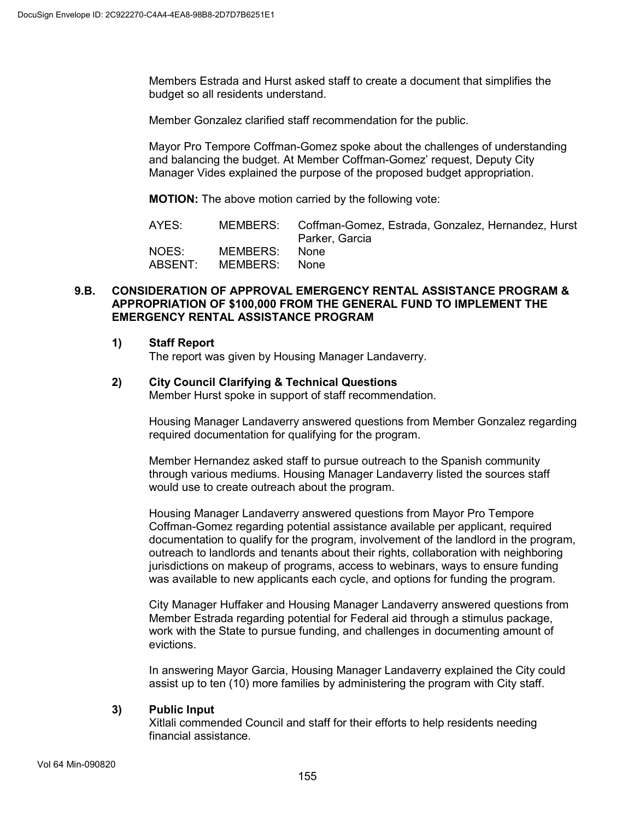Members Estrada and Hurst asked staff to create a document that simplifies the budget so all residents understand.

Member Gonzalez clarified staff recommendation for the public.

Mayor Pro Tempore Coffman-Gomez spoke about the challenges of understanding and balancing the budget. At Member Coffman-Gomez' request, Deputy City Manager Vides explained the purpose of the proposed budget appropriation.

**MOTION:** The above motion carried by the following vote:

| AYES:   |          | MEMBERS: Coffman-Gomez, Estrada, Gonzalez, Hernandez, Hurst<br>Parker, Garcia |
|---------|----------|-------------------------------------------------------------------------------|
| NOES:   | MEMBERS: | <b>None</b>                                                                   |
| ABSENT: | MEMBERS: | None                                                                          |

#### **9.B. CONSIDERATION OF APPROVAL EMERGENCY RENTAL ASSISTANCE PROGRAM & APPROPRIATION OF \$100,000 FROM THE GENERAL FUND TO IMPLEMENT THE EMERGENCY RENTAL ASSISTANCE PROGRAM**

#### **1) Staff Report**

The report was given by Housing Manager Landaverry.

# **2) City Council Clarifying & Technical Questions**

Member Hurst spoke in support of staff recommendation.

Housing Manager Landaverry answered questions from Member Gonzalez regarding required documentation for qualifying for the program.

Member Hernandez asked staff to pursue outreach to the Spanish community through various mediums. Housing Manager Landaverry listed the sources staff would use to create outreach about the program.

Housing Manager Landaverry answered questions from Mayor Pro Tempore Coffman-Gomez regarding potential assistance available per applicant, required documentation to qualify for the program, involvement of the landlord in the program, outreach to landlords and tenants about their rights, collaboration with neighboring jurisdictions on makeup of programs, access to webinars, ways to ensure funding was available to new applicants each cycle, and options for funding the program.

City Manager Huffaker and Housing Manager Landaverry answered questions from Member Estrada regarding potential for Federal aid through a stimulus package, work with the State to pursue funding, and challenges in documenting amount of evictions.

In answering Mayor Garcia, Housing Manager Landaverry explained the City could assist up to ten (10) more families by administering the program with City staff.

# **3) Public Input**

Xitlali commended Council and staff for their efforts to help residents needing financial assistance.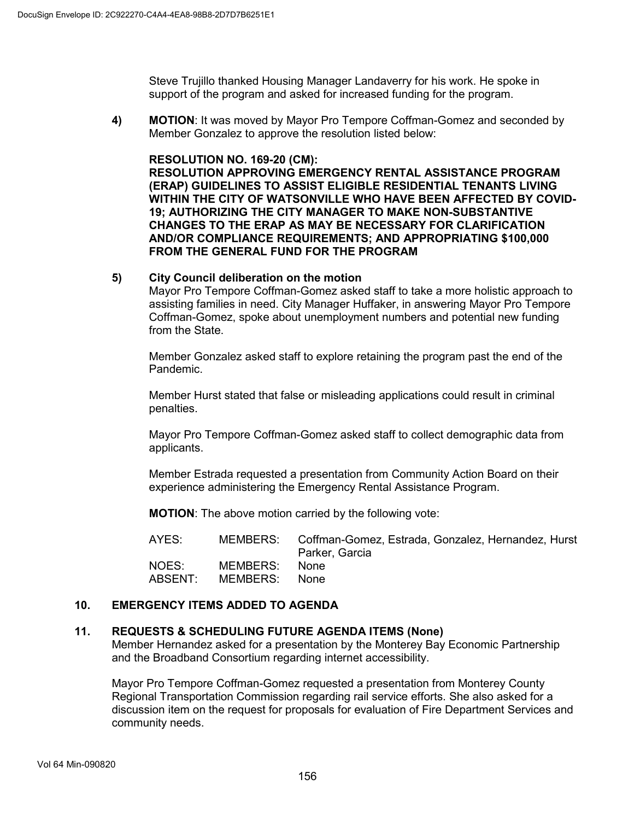Steve Trujillo thanked Housing Manager Landaverry for his work. He spoke in support of the program and asked for increased funding for the program.

**4) MOTION**: It was moved by Mayor Pro Tempore Coffman-Gomez and seconded by Member Gonzalez to approve the resolution listed below:

#### **RESOLUTION NO. 169-20 (CM):**

**RESOLUTION APPROVING EMERGENCY RENTAL ASSISTANCE PROGRAM (ERAP) GUIDELINES TO ASSIST ELIGIBLE RESIDENTIAL TENANTS LIVING WITHIN THE CITY OF WATSONVILLE WHO HAVE BEEN AFFECTED BY COVID-19; AUTHORIZING THE CITY MANAGER TO MAKE NON-SUBSTANTIVE CHANGES TO THE ERAP AS MAY BE NECESSARY FOR CLARIFICATION AND/OR COMPLIANCE REQUIREMENTS; AND APPROPRIATING \$100,000 FROM THE GENERAL FUND FOR THE PROGRAM**

#### **5) City Council deliberation on the motion**

Mayor Pro Tempore Coffman-Gomez asked staff to take a more holistic approach to assisting families in need. City Manager Huffaker, in answering Mayor Pro Tempore Coffman-Gomez, spoke about unemployment numbers and potential new funding from the State.

Member Gonzalez asked staff to explore retaining the program past the end of the Pandemic.

Member Hurst stated that false or misleading applications could result in criminal penalties.

Mayor Pro Tempore Coffman-Gomez asked staff to collect demographic data from applicants.

Member Estrada requested a presentation from Community Action Board on their experience administering the Emergency Rental Assistance Program.

**MOTION**: The above motion carried by the following vote:

| AYES:   |          | MEMBERS: Coffman-Gomez, Estrada, Gonzalez, Hernandez, Hurst<br>Parker, Garcia |
|---------|----------|-------------------------------------------------------------------------------|
| NOES:   | MEMBERS: | None.                                                                         |
| ABSENT: | MEMBERS: | – None                                                                        |

# **10. EMERGENCY ITEMS ADDED TO AGENDA**

#### **11. REQUESTS & SCHEDULING FUTURE AGENDA ITEMS (None)**

Member Hernandez asked for a presentation by the Monterey Bay Economic Partnership and the Broadband Consortium regarding internet accessibility.

Mayor Pro Tempore Coffman-Gomez requested a presentation from Monterey County Regional Transportation Commission regarding rail service efforts. She also asked for a discussion item on the request for proposals for evaluation of Fire Department Services and community needs.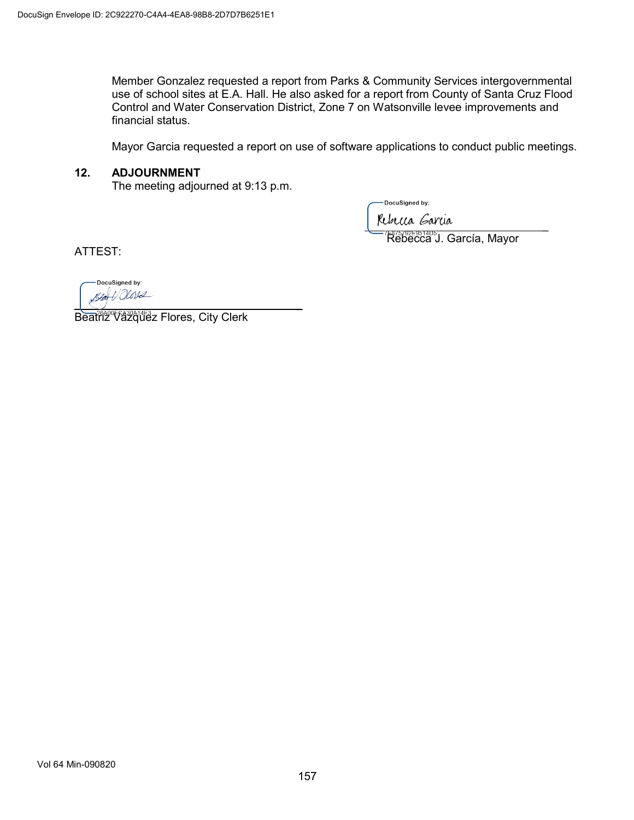Member Gonzalez requested a report from Parks & Community Services intergovernmental use of school sites at E.A. Hall. He also asked for a report from County of Santa Cruz Flood Control and Water Conservation District, Zone 7 on Watsonville levee improvements and financial status.

Mayor Garcia requested a report on use of software applications to conduct public meetings.

#### **12. ADJOURNMENT**

The meeting adjourned at 9:13 p.m.

DocuSigned by:

public surface

Rebecca J. García, Mayor

ATTEST:

DocuSigned by:  $\sum_{i=1}^n a_i$ 

Beatriz Vázquez Flores, City Clerk